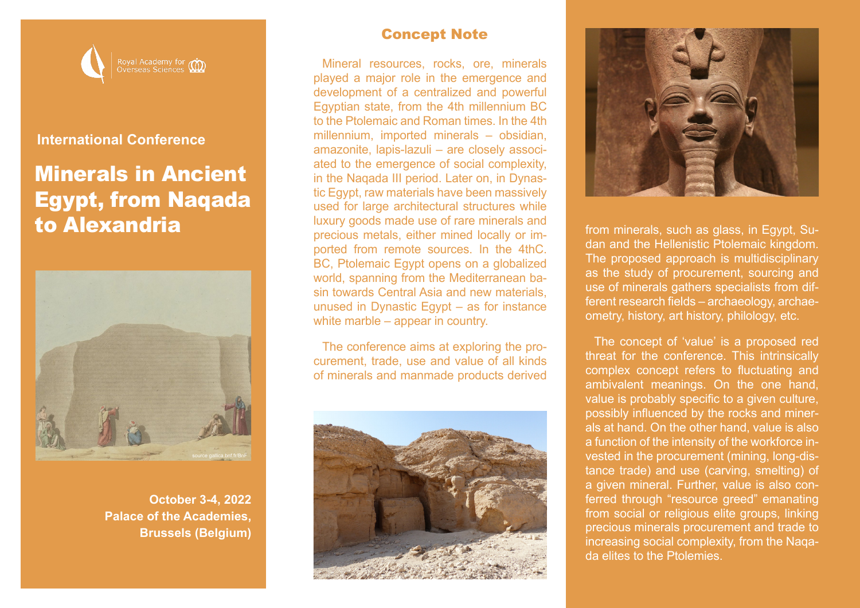

### **International Conference**

# Minerals in Ancient Egypt, from Naqada to Alexandria



**October 3-4, 2022 Palace of the Academies, Brussels (Belgium)**

#### Concept Note

Mineral resources, rocks, ore, minerals played a major role in the emergence and development of a centralized and powerful Egyptian state, from the 4th millennium BC to the Ptolemaic and Roman times. In the 4th millennium, imported minerals – obsidian, amazonite, lapis-lazuli – are closely associated to the emergence of social complexity, in the Naqada III period. Later on, in Dynastic Egypt, raw materials have been massively used for large architectural structures while luxury goods made use of rare minerals and precious metals, either mined locally or imported from remote sources. In the 4thC. BC, Ptolemaic Egypt opens on a globalized world, spanning from the Mediterranean basin towards Central Asia and new materials, unused in Dynastic Egypt – as for instance white marble – appear in country.

The conference aims at exploring the procurement, trade, use and value of all kinds of minerals and manmade products derived





from minerals, such as glass, in Egypt, Sudan and the Hellenistic Ptolemaic kingdom. The proposed approach is multidisciplinary as the study of procurement, sourcing and use of minerals gathers specialists from different research fields – archaeology, archaeometry, history, art history, philology, etc.

The concept of 'value' is a proposed red threat for the conference. This intrinsically complex concept refers to fluctuating and ambivalent meanings. On the one hand, value is probably specific to a given culture, possibly influenced by the rocks and minerals at hand. On the other hand, value is also a function of the intensity of the workforce invested in the procurement (mining, long-distance trade) and use (carving, smelting) of a given mineral. Further, value is also conferred through "resource greed" emanating from social or religious elite groups, linking precious minerals procurement and trade to increasing social complexity, from the Naqada elites to the Ptolemies.